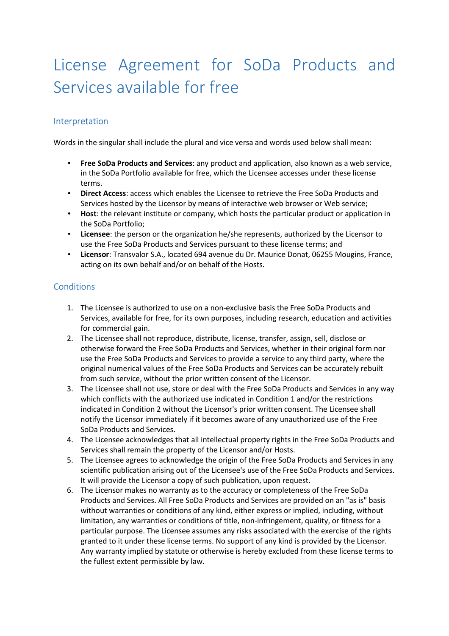## License Agreement for SoDa Products and Services available for free

## Interpretation

Words in the singular shall include the plural and vice versa and words used below shall mean:

- **Free SoDa Products and Services**: any product and application, also known as a web service, in the SoDa Portfolio available for free, which the Licensee accesses under these license terms.
- **Direct Access**: access which enables the Licensee to retrieve the Free SoDa Products and Services hosted by the Licensor by means of interactive web browser or Web service;
- **Host**: the relevant institute or company, which hosts the particular product or application in the SoDa Portfolio;
- **Licensee**: the person or the organization he/she represents, authorized by the Licensor to use the Free SoDa Products and Services pursuant to these license terms; and
- **Licensor**: Transvalor S.A., located 694 avenue du Dr. Maurice Donat, 06255 Mougins, France, acting on its own behalf and/or on behalf of the Hosts.

## **Conditions**

- 1. The Licensee is authorized to use on a non-exclusive basis the Free SoDa Products and Services, available for free, for its own purposes, including research, education and activities for commercial gain.
- 2. The Licensee shall not reproduce, distribute, license, transfer, assign, sell, disclose or otherwise forward the Free SoDa Products and Services, whether in their original form nor use the Free SoDa Products and Services to provide a service to any third party, where the original numerical values of the Free SoDa Products and Services can be accurately rebuilt from such service, without the prior written consent of the Licensor.
- 3. The Licensee shall not use, store or deal with the Free SoDa Products and Services in any way which conflicts with the authorized use indicated in Condition 1 and/or the restrictions indicated in Condition 2 without the Licensor's prior written consent. The Licensee shall notify the Licensor immediately if it becomes aware of any unauthorized use of the Free SoDa Products and Services.
- 4. The Licensee acknowledges that all intellectual property rights in the Free SoDa Products and Services shall remain the property of the Licensor and/or Hosts.
- 5. The Licensee agrees to acknowledge the origin of the Free SoDa Products and Services in any scientific publication arising out of the Licensee's use of the Free SoDa Products and Services. It will provide the Licensor a copy of such publication, upon request.
- 6. The Licensor makes no warranty as to the accuracy or completeness of the Free SoDa Products and Services. All Free SoDa Products and Services are provided on an "as is" basis without warranties or conditions of any kind, either express or implied, including, without limitation, any warranties or conditions of title, non-infringement, quality, or fitness for a particular purpose. The Licensee assumes any risks associated with the exercise of the rights granted to it under these license terms. No support of any kind is provided by the Licensor. Any warranty implied by statute or otherwise is hereby excluded from these license terms to the fullest extent permissible by law.